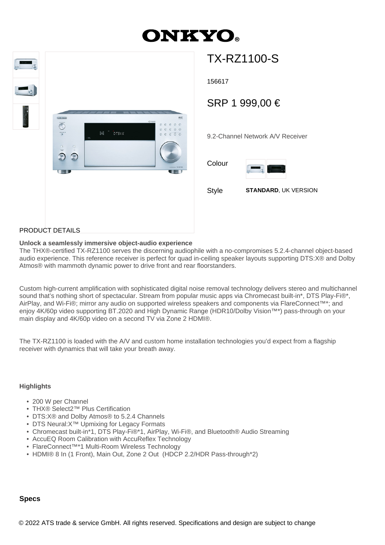# **ONKYO**



## TX-RZ1100-S

156617

### SRP 1 999,00 €

9.2-Channel Network A/V Receiver

Colour



Style **STANDARD**, UK VERSION

#### PRODUCT DETAILS

#### **Unlock a seamlessly immersive object-audio experience**

The THX®-certified TX-RZ1100 serves the discerning audiophile with a no-compromises 5.2.4-channel object-based audio experience. This reference receiver is perfect for quad in-ceiling speaker layouts supporting DTS:X® and Dolby Atmos® with mammoth dynamic power to drive front and rear floorstanders.

Custom high-current amplification with sophisticated digital noise removal technology delivers stereo and multichannel sound that's nothing short of spectacular. Stream from popular music apps via Chromecast built-in\*, DTS Play-Fi®\*, AirPlay, and Wi-Fi®; mirror any audio on supported wireless speakers and components via FlareConnect™\*; and enjoy 4K/60p video supporting BT.2020 and High Dynamic Range (HDR10/Dolby Vision™\*) pass-through on your main display and 4K/60p video on a second TV via Zone 2 HDMI®.

The TX-RZ1100 is loaded with the A/V and custom home installation technologies you'd expect from a flagship receiver with dynamics that will take your breath away.

#### **Highlights**

- 200 W per Channel
- THX® Select2™ Plus Certification
- DTS:X® and Dolby Atmos® to 5.2.4 Channels
- DTS Neural:X™ Upmixing for Legacy Formats
- Chromecast built-in\*1, DTS Play-Fi®\*1, AirPlay, Wi-Fi®, and Bluetooth® Audio Streaming
- AccuEQ Room Calibration with AccuReflex Technology
- FlareConnect™\*1 Multi-Room Wireless Technology
- HDMI® 8 In (1 Front), Main Out, Zone 2 Out (HDCP 2.2/HDR Pass-through\*2)

#### **Specs**